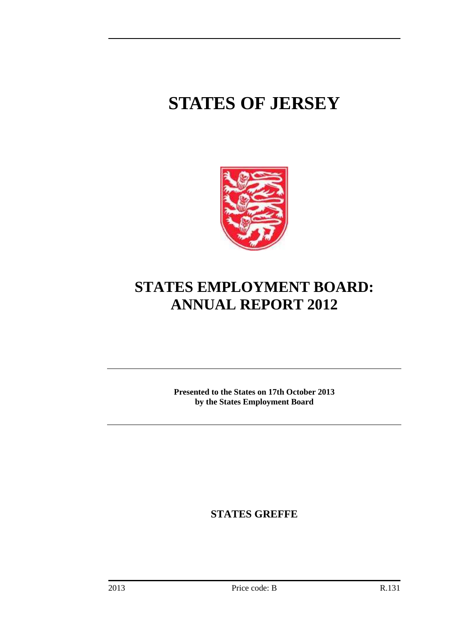# **STATES OF JERSEY**



## **STATES EMPLOYMENT BOARD: ANNUAL REPORT 2012**

**Presented to the States on 17th October 2013 by the States Employment Board** 

**STATES GREFFE**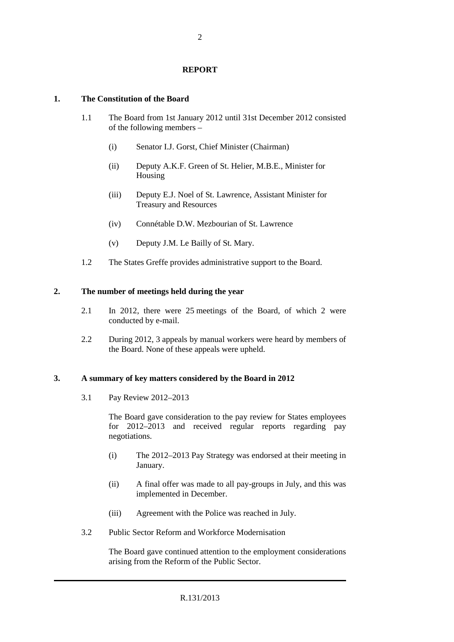#### **REPORT**

#### **1. The Constitution of the Board**

- 1.1 The Board from 1st January 2012 until 31st December 2012 consisted of the following members –
	- (i) Senator I.J. Gorst, Chief Minister (Chairman)
	- (ii) Deputy A.K.F. Green of St. Helier, M.B.E., Minister for Housing
	- (iii) Deputy E.J. Noel of St. Lawrence, Assistant Minister for Treasury and Resources
	- (iv) Connétable D.W. Mezbourian of St. Lawrence
	- (v) Deputy J.M. Le Bailly of St. Mary.
- 1.2 The States Greffe provides administrative support to the Board.

#### **2. The number of meetings held during the year**

- 2.1 In 2012, there were 25 meetings of the Board, of which 2 were conducted by e-mail.
- 2.2 During 2012, 3 appeals by manual workers were heard by members of the Board. None of these appeals were upheld.

#### **3. A summary of key matters considered by the Board in 2012**

3.1 Pay Review 2012–2013

The Board gave consideration to the pay review for States employees for 2012–2013 and received regular reports regarding pay negotiations.

- (i) The 2012–2013 Pay Strategy was endorsed at their meeting in January.
- (ii) A final offer was made to all pay-groups in July, and this was implemented in December.
- (iii) Agreement with the Police was reached in July.
- 3.2 Public Sector Reform and Workforce Modernisation

The Board gave continued attention to the employment considerations arising from the Reform of the Public Sector.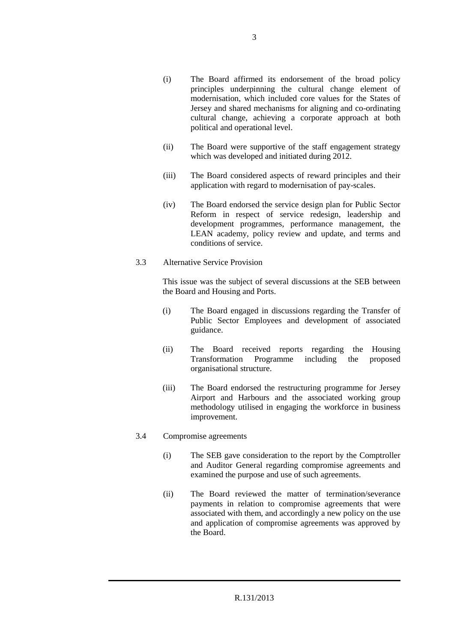- (i) The Board affirmed its endorsement of the broad policy principles underpinning the cultural change element of modernisation, which included core values for the States of Jersey and shared mechanisms for aligning and co-ordinating cultural change, achieving a corporate approach at both political and operational level.
- (ii) The Board were supportive of the staff engagement strategy which was developed and initiated during 2012.
- (iii) The Board considered aspects of reward principles and their application with regard to modernisation of pay-scales.
- (iv) The Board endorsed the service design plan for Public Sector Reform in respect of service redesign, leadership and development programmes, performance management, the LEAN academy, policy review and update, and terms and conditions of service.
- 3.3 Alternative Service Provision

This issue was the subject of several discussions at the SEB between the Board and Housing and Ports.

- (i) The Board engaged in discussions regarding the Transfer of Public Sector Employees and development of associated guidance.
- (ii) The Board received reports regarding the Housing Transformation Programme including the proposed organisational structure.
- (iii) The Board endorsed the restructuring programme for Jersey Airport and Harbours and the associated working group methodology utilised in engaging the workforce in business improvement.
- 3.4 Compromise agreements
	- (i) The SEB gave consideration to the report by the Comptroller and Auditor General regarding compromise agreements and examined the purpose and use of such agreements.
	- (ii) The Board reviewed the matter of termination/severance payments in relation to compromise agreements that were associated with them, and accordingly a new policy on the use and application of compromise agreements was approved by the Board.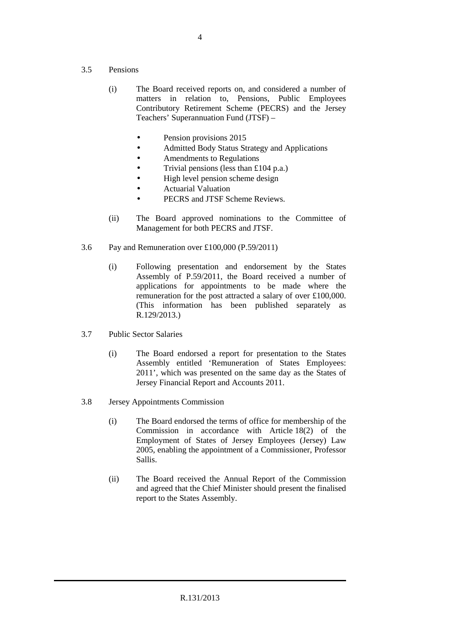- 3.5 Pensions
	- (i) The Board received reports on, and considered a number of matters in relation to, Pensions, Public Employees Contributory Retirement Scheme (PECRS) and the Jersey Teachers' Superannuation Fund (JTSF) –
		- Pension provisions 2015
		- Admitted Body Status Strategy and Applications
		- Amendments to Regulations
		- Trivial pensions (less than £104 p.a.)
		- High level pension scheme design
		- Actuarial Valuation
		- PECRS and JTSF Scheme Reviews.
	- (ii) The Board approved nominations to the Committee of Management for both PECRS and JTSF.
- 3.6 Pay and Remuneration over £100,000 (P.59/2011)
	- (i) Following presentation and endorsement by the States Assembly of P.59/2011, the Board received a number of applications for appointments to be made where the remuneration for the post attracted a salary of over £100,000. (This information has been published separately as R.129/2013.)
- 3.7 Public Sector Salaries
	- (i) The Board endorsed a report for presentation to the States Assembly entitled 'Remuneration of States Employees: 2011', which was presented on the same day as the States of Jersey Financial Report and Accounts 2011.
- 3.8 Jersey Appointments Commission
	- (i) The Board endorsed the terms of office for membership of the Commission in accordance with Article 18(2) of the Employment of States of Jersey Employees (Jersey) Law 2005, enabling the appointment of a Commissioner, Professor Sallis.
	- (ii) The Board received the Annual Report of the Commission and agreed that the Chief Minister should present the finalised report to the States Assembly.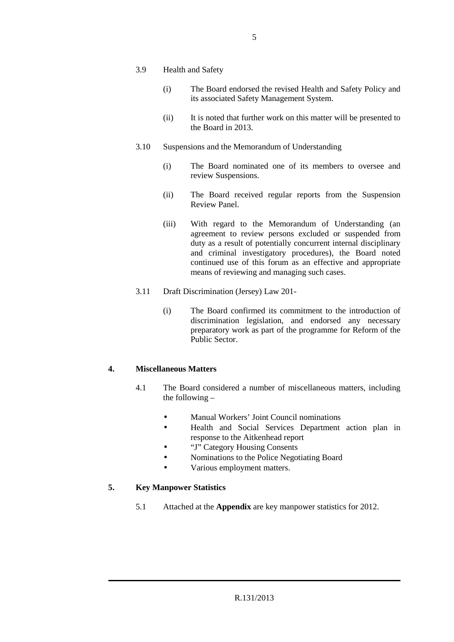- 3.9 Health and Safety
	- (i) The Board endorsed the revised Health and Safety Policy and its associated Safety Management System.
	- (ii) It is noted that further work on this matter will be presented to the Board in 2013.
- 3.10 Suspensions and the Memorandum of Understanding
	- (i) The Board nominated one of its members to oversee and review Suspensions.
	- (ii) The Board received regular reports from the Suspension Review Panel.
	- (iii) With regard to the Memorandum of Understanding (an agreement to review persons excluded or suspended from duty as a result of potentially concurrent internal disciplinary and criminal investigatory procedures), the Board noted continued use of this forum as an effective and appropriate means of reviewing and managing such cases.
- 3.11 Draft Discrimination (Jersey) Law 201-
	- (i) The Board confirmed its commitment to the introduction of discrimination legislation, and endorsed any necessary preparatory work as part of the programme for Reform of the Public Sector.

#### **4. Miscellaneous Matters**

- 4.1 The Board considered a number of miscellaneous matters, including the following –
	- Manual Workers' Joint Council nominations
	- Health and Social Services Department action plan in response to the Aitkenhead report
	- "J" Category Housing Consents
	- Nominations to the Police Negotiating Board
	- Various employment matters.

#### **5. Key Manpower Statistics**

5.1 Attached at the **Appendix** are key manpower statistics for 2012.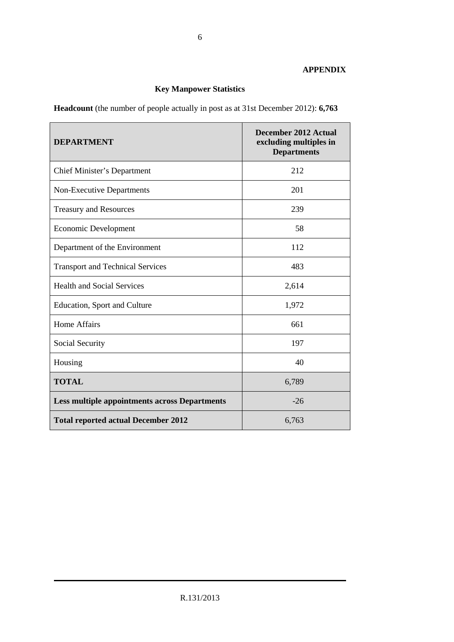#### **APPENDIX**

### **Key Manpower Statistics**

**Headcount** (the number of people actually in post as at 31st December 2012): **6,763** 

| <b>DEPARTMENT</b>                                    | <b>December 2012 Actual</b><br>excluding multiples in<br><b>Departments</b> |
|------------------------------------------------------|-----------------------------------------------------------------------------|
| <b>Chief Minister's Department</b>                   | 212                                                                         |
| <b>Non-Executive Departments</b>                     | 201                                                                         |
| <b>Treasury and Resources</b>                        | 239                                                                         |
| <b>Economic Development</b>                          | 58                                                                          |
| Department of the Environment                        | 112                                                                         |
| <b>Transport and Technical Services</b>              | 483                                                                         |
| <b>Health and Social Services</b>                    | 2,614                                                                       |
| Education, Sport and Culture                         | 1,972                                                                       |
| Home Affairs                                         | 661                                                                         |
| Social Security                                      | 197                                                                         |
| Housing                                              | 40                                                                          |
| <b>TOTAL</b>                                         | 6,789                                                                       |
| <b>Less multiple appointments across Departments</b> | $-26$                                                                       |
| <b>Total reported actual December 2012</b>           | 6,763                                                                       |